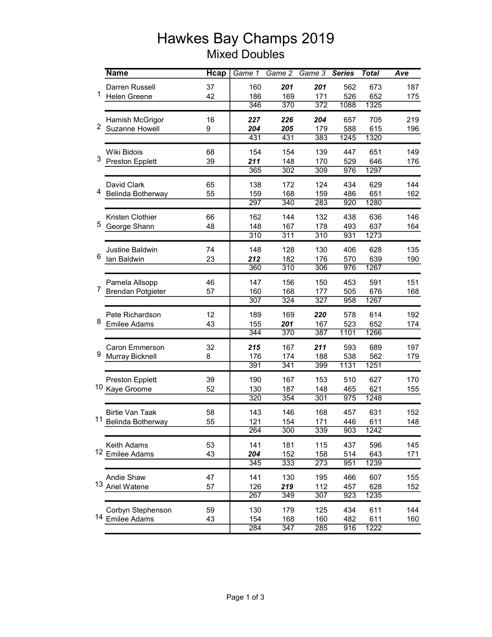## Hawkes Bay Champs 2019 Mixed Doubles

|                | <b>Name</b>                | <b>H</b> cap | Game 1           | $Game$ $2$       | Game 3           | <b>Series</b> | <b>Total</b> | Ave |
|----------------|----------------------------|--------------|------------------|------------------|------------------|---------------|--------------|-----|
| 1              | Darren Russell             | 37           | 160              | 201              | 201              | 562           | 673          | 187 |
|                | <b>Helen Greene</b>        | 42           | 186              | 169              | 171              | 526           | 652          | 175 |
|                |                            |              | 346              | 370              | 372              | 1088          | 1325         |     |
| $\overline{2}$ | Hamish McGrigor            | 16           | 227              | 226              | 204              | 657           | 705          | 219 |
|                | Suzanne Howell             | 9            | 204              | 205              | 179              | 588           | 615          | 196 |
|                |                            |              | 431              | 431              | 383              | 1245          | 1320         |     |
| 3              | Wiki Bidois                | 68           | 154              | 154              | 139              | 447           | 651          | 149 |
|                | <b>Preston Epplett</b>     | 39           | 211              | 148              | 170              | 529           | 646          | 176 |
|                |                            |              | 365              | 302              | $\overline{309}$ | 976           | 1297         |     |
|                | David Clark                | 65           | 138              | 172              | 124              | 434           | 629          | 144 |
| 4              | Belinda Botherway          | 55           | 159              | 168              | 159              | 486           | 651          | 162 |
|                |                            |              | 297              | 340              | 283              | 920           | 1280         |     |
|                | Kristen Clothier           | 66           | 162              | 144              | 132              | 438           | 636          | 146 |
| 5              | George Shann               | 48           | 148              | 167              | 178              | 493           | 637          | 164 |
|                |                            |              | $\overline{310}$ | 311              | 310              | 931           | 1273         |     |
|                | <b>Justine Baldwin</b>     | 74           | 148              | 128              | 130              | 406           | 628          | 135 |
| 6              | lan Baldwin                | 23           | 212              | 182              | 176              | 570           | 639          | 190 |
|                |                            |              | 360              | 310              | 306              | 976           | 1267         |     |
|                | Pamela Allsopp             | 46           | 147              | 156              | 150              | 453           | 591          | 151 |
| $\overline{7}$ | <b>Brendan Potgieter</b>   | 57           | 160              | 168              | 177              | 505           | 676          | 168 |
|                |                            |              | 307              | 324              | 327              | 958           | 1267         |     |
|                | Pete Richardson            | 12           | 189              | 169              | 220              | 578           | 614          | 192 |
| 8              | <b>Emilee Adams</b>        | 43           | 155              | 201              | 167              | 523           | 652          | 174 |
|                |                            |              | 344              | 370              | 387              | 1101          | 1266         |     |
|                | <b>Caron Emmerson</b>      | 32           | 215              | 167              | 211              | 593           | 689          | 197 |
| 9              | Murray Bicknell            | 8            | 176              | 174              | 188              | 538           | 562          | 179 |
|                |                            |              | 391              | 341              | 399              | 1131          | 1251         |     |
|                | <b>Preston Epplett</b>     | 39           | 190              | 167              | 153              | 510           | 627          | 170 |
| 10             | Kaye Groome                | 52           | 130              | 187              | 148              | 465           | 621          | 155 |
|                |                            |              | 320              | 354              | 301              | 975           | 1248         |     |
|                | <b>Birtie Van Taak</b>     | 58           | 143              | 146              | 168              | 457           | 631          | 152 |
| 11             | Belinda Botherway          | 55           | 121              | 154              | 171              | 446           | 611          | 148 |
|                |                            |              | 264              | $\overline{300}$ | 339              | 903           | 1242         |     |
|                | Keith Adams                | 53           | 141              | 181              | 115              | 437           | 596          | 145 |
|                | <sup>12</sup> Emilee Adams | 43           | 204              | 152              | 158              | 514           | 643          | 171 |
|                |                            |              | 345              | 333              | 273              | 951           | 1239         |     |
| 13             | Andie Shaw                 | 47           | 141              | 130              | 195              | 466           | 607          | 155 |
|                | Ariel Watene               | 57           | 126              | 219              | 112              | 457           | 628          | 152 |
|                |                            |              | 267              | 349              | 307              | 923           | 1235         |     |
|                | Corbyn Stephenson          | 59           | 130              | 179              | 125              | 434           | 611          | 144 |
|                | 14 Emilee Adams            | 43           | 154              | 168              | 160              | 482           | 611          | 160 |
|                |                            |              | 284              | 347              | 285              | 916           | 1222         |     |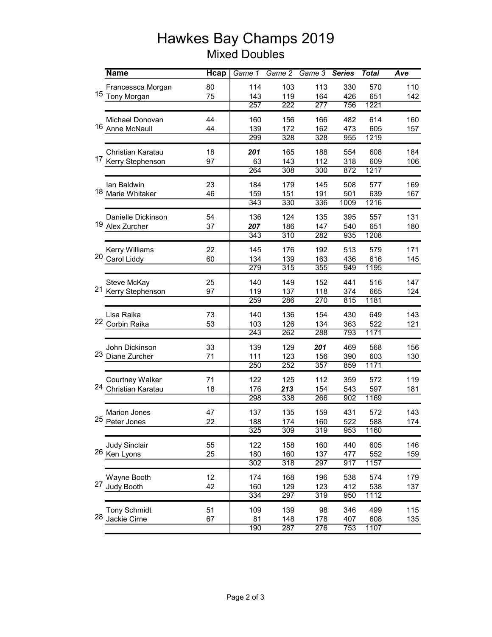## Hawkes Bay Champs 2019 Mixed Doubles

|    | <b>Name</b>           | <b>H</b> cap | Game $1$         | $Game$ $2$       | Game 3           | <b>Series</b> | <b>Total</b> | Ave |
|----|-----------------------|--------------|------------------|------------------|------------------|---------------|--------------|-----|
|    | Francessca Morgan     | 80           | 114              | 103              | 113              | 330           | 570          | 110 |
|    | 15 Tony Morgan        | 75           | 143              | 119              | 164              | 426           | 651          | 142 |
|    |                       |              | 257              | 222              | 277              | 756           | 1221         |     |
|    | Michael Donovan       | 44           | 160              | 156              | 166              | 482           | 614          | 160 |
| 16 | Anne McNaull          | 44           | 139              | 172              | 162              | 473           | 605          | 157 |
|    |                       |              | 299              | 328              | 328              | 955           | 1219         |     |
|    | Christian Karatau     | 18           | 201              | 165              | 188              | 554           | 608          | 184 |
|    | 17 Kerry Stephenson   | 97           | 63               | 143              | 112              | 318           | 609          | 106 |
|    |                       |              | 264              | $\overline{308}$ | $\overline{300}$ | 872           | 1217         |     |
|    | lan Baldwin           | 23           | 184              | 179              | 145              | 508           | 577          | 169 |
|    | 18 Marie Whitaker     | 46           | 159              | 151              | 191              | 501           | 639          | 167 |
|    |                       |              | 343              | 330              | 336              | 1009          | 1216         |     |
|    | Danielle Dickinson    | 54           | 136              | 124              | 135              | 395           | 557          | 131 |
|    | 19 Alex Zurcher       | 37           | 207              | 186              | 147              | 540           | 651          | 180 |
|    |                       |              | 343              | 310              | 282              | 935           | 1208         |     |
|    | <b>Kerry Williams</b> | 22           | 145              | 176              | 192              | 513           | 579          | 171 |
| 20 | Carol Liddy           | 60           | 134              | 139              | 163              | 436           | 616          | 145 |
|    |                       |              | 279              | 315              | 355              | 949           | 1195         |     |
|    | Steve McKay           | 25           | 140              | 149              | 152              | 441           | 516          | 147 |
|    | 21 Kerry Stephenson   | 97           | 119              | 137              | 118              | 374           | 665          | 124 |
|    |                       |              | 259              | 286              | 270              | 815           | 1181         |     |
|    | Lisa Raika            | 73           | 140              | 136              | 154              | 430           | 649          | 143 |
|    | 22 Corbin Raika       | 53           | 103              | 126              | 134              | 363           | 522          | 121 |
|    |                       |              | 243              | 262              | 288              | 793           | 1171         |     |
|    | John Dickinson        | 33           | 139              | 129              | 201              | 469           | 568          | 156 |
|    | 23 Diane Zurcher      | 71           | 111              | 123              | 156              | 390           | 603          | 130 |
|    |                       |              | 250              | 252              | 357              | 859           | 1171         |     |
|    | Courtney Walker       | 71           | 122              | 125              | 112              | 359           | 572          | 119 |
| 24 | Christian Karatau     | 18           | 176              | 213              | 154              | 543           | 597          | 181 |
|    |                       |              | 298              | 338              | 266              | 902           | 1169         |     |
|    | <b>Marion Jones</b>   | 47           | 137              | 135              | 159              | 431           | 572          | 143 |
|    | 25 Peter Jones        | 22           | 188              | 174              | 160              | 522           | 588          | 174 |
|    |                       |              | $\overline{325}$ | 309              | $\overline{319}$ | 953           | 1160         |     |
|    | <b>Judy Sinclair</b>  | 55           | 122              | 158              | 160              | 440           | 605          | 146 |
|    | 26 Ken Lyons          | 25           | 180              | 160              | 137              | 477           | 552          | 159 |
|    |                       |              | 302              | 318              | 297              | 917           | 1157         |     |
| 27 | Wayne Booth           | 12           | 174              | 168              | 196              | 538           | 574          | 179 |
|    | Judy Booth            | 42           | 160              | 129              | 123              | 412           | 538          | 137 |
|    |                       |              | 334              | 297              | 319              | 950           | 1112         |     |
|    | <b>Tony Schmidt</b>   | 51           | 109              | 139              | 98               | 346           | 499          | 115 |
|    | 28 Jackie Cirne       | 67           | 81               | 148              | 178              | 407           | 608          | 135 |
|    |                       |              | 190              | 287              | 276              | 753           | 1107         |     |